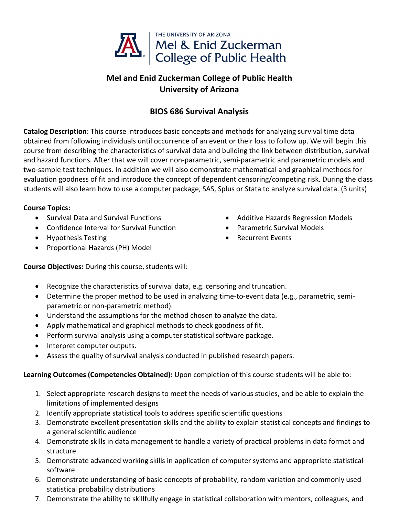

## **Mel and Enid Zuckerman College of Public Health University of Arizona**

## **BIOS 686 Survival Analysis**

**Catalog Description**: This course introduces basic concepts and methods for analyzing survival time data obtained from following individuals until occurrence of an event or their loss to follow up. We will begin this course from describing the characteristics of survival data and building the link between distribution, survival and hazard functions. After that we will cover non‐parametric, semi‐parametric and parametric models and two‐sample test techniques. In addition we will also demonstrate mathematical and graphical methods for evaluation goodness of fit and introduce the concept of dependent censoring/competing risk. During the class students will also learn how to use a computer package, SAS, Splus or Stata to analyze survival data. (3 units)

## **Course Topics:**

- Survival Data and Survival Functions
- Confidence Interval for Survival Function
- Hypothesis Testing
- Proportional Hazards (PH) Model
- Additive Hazards Regression Models
- Parametric Survival Models
- Recurrent Events

**Course Objectives:** During this course, students will:

- Recognize the characteristics of survival data, e.g. censoring and truncation.
- Determine the proper method to be used in analyzing time-to-event data (e.g., parametric, semiparametric or non‐parametric method).
- Understand the assumptions for the method chosen to analyze the data.
- Apply mathematical and graphical methods to check goodness of fit.
- Perform survival analysis using a computer statistical software package.
- Interpret computer outputs.
- Assess the quality of survival analysis conducted in published research papers.

## **Learning Outcomes (Competencies Obtained):** Upon completion of this course students will be able to:

- 1. Select appropriate research designs to meet the needs of various studies, and be able to explain the limitations of implemented designs
- 2. Identify appropriate statistical tools to address specific scientific questions
- 3. Demonstrate excellent presentation skills and the ability to explain statistical concepts and findings to a general scientific audience
- 4. Demonstrate skills in data management to handle a variety of practical problems in data format and structure
- 5. Demonstrate advanced working skills in application of computer systems and appropriate statistical software
- 6. Demonstrate understanding of basic concepts of probability, random variation and commonly used statistical probability distributions
- 7. Demonstrate the ability to skillfully engage in statistical collaboration with mentors, colleagues, and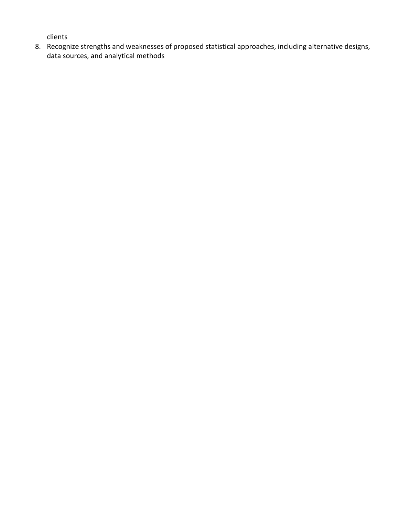clients

8. Recognize strengths and weaknesses of proposed statistical approaches, including alternative designs, data sources, and analytical methods